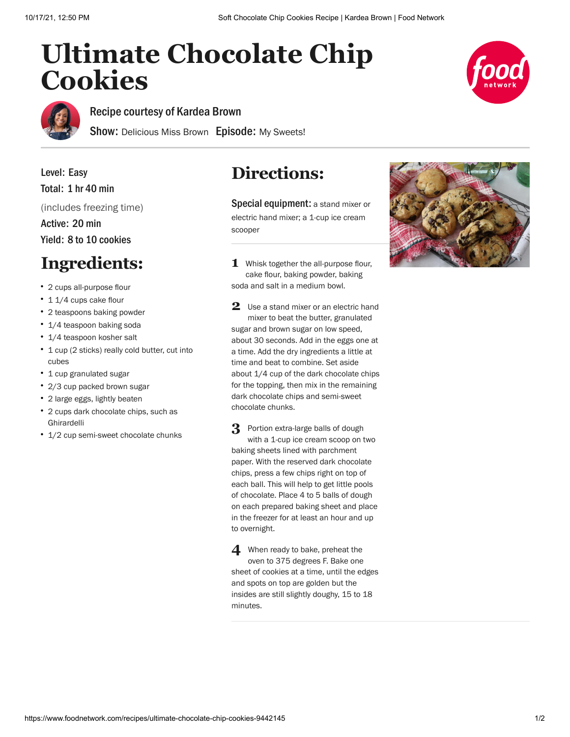## **Ultimate Chocolate Chip Cookies**





Recipe courtesy of [Kardea Brown](https://www.foodnetwork.com/profiles/talent/kardea-brown)

Show: [Delicious Miss Brown](https://www.foodnetwork.com/shows/delicious-miss-brown) Episode: [My Sweets!](https://www.foodnetwork.com/shows/delicious-miss-brown/episodes/my-sweets)

Level: Easy Total: 1 hr 40 min (includes freezing time) Active: 20 min

Yield: 8 to 10 cookies

## **Ingredients:**

- 2 cups all-purpose flour
- 1 1/4 cups cake flour
- 2 teaspoons baking powder
- 1/4 teaspoon baking soda
- 1/4 teaspoon kosher salt
- 1 cup (2 sticks) really cold butter, cut into cubes
- 1 cup granulated sugar
- 2/3 cup packed brown sugar
- 2 large eggs, lightly beaten
- 2 cups dark chocolate chips, such as Ghirardelli
- 1/2 cup semi-sweet chocolate chunks

## **Directions:**

Special equipment: a stand mixer or electric hand mixer; a 1-cup ice cream scooper

**1** Whisk together the all-purpose flour, cake flour, baking powder, baking soda and salt in a medium bowl.

2 Use a stand mixer or an electric hand mixer to beat the butter, granulated sugar and brown sugar on low speed, about 30 seconds. Add in the eggs one at a time. Add the dry ingredients a little at time and beat to combine. Set aside about 1/4 cup of the dark chocolate chips for the topping, then mix in the remaining dark chocolate chips and semi-sweet chocolate chunks.

**3** Portion extra-large balls of dough with a 1-cup ice cream scoop on two baking sheets lined with parchment paper. With the reserved dark chocolate chips, press a few chips right on top of each ball. This will help to get little pools of chocolate. Place 4 to 5 balls of dough on each prepared baking sheet and place in the freezer for at least an hour and up to overnight.

**4** When ready to bake, preheat the oven to 375 degrees F. Bake one sheet of cookies at a time, until the edges and spots on top are golden but the insides are still slightly doughy, 15 to 18 minutes.